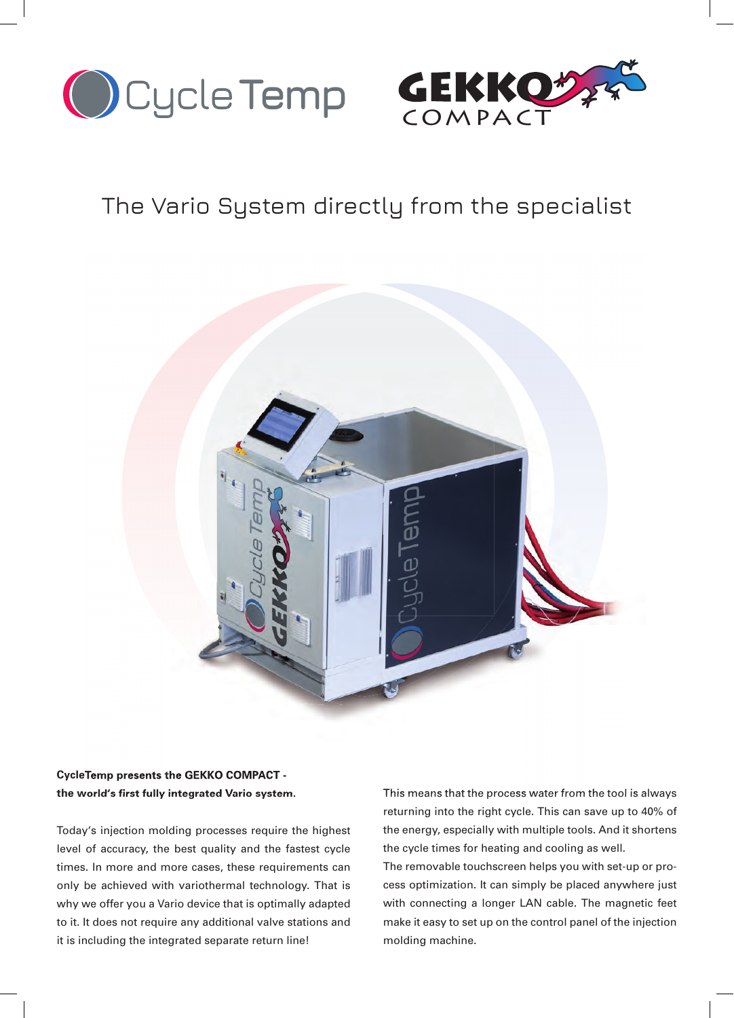



## The Vario System directly from the specialist



#### **CycleTemp presents the GEKKO COMPACT the world's fi rst fully integrated Vario system.**

Today's injection molding processes require the highest level of accuracy, the best quality and the fastest cycle times. In more and more cases, these requirements can only be achieved with variothermal technology. That is why we offer you a Vario device that is optimally adapted to it. It does not require any additional valve stations and it is including the integrated separate return line!

This means that the process water from the tool is always returning into the right cycle. This can save up to 40% of the energy, especially with multiple tools. And it shortens the cycle times for heating and cooling as well.

The removable touchscreen helps you with set-up or process optimization. It can simply be placed anywhere just with connecting a longer LAN cable. The magnetic feet make it easy to set up on the control panel of the injection molding machine.